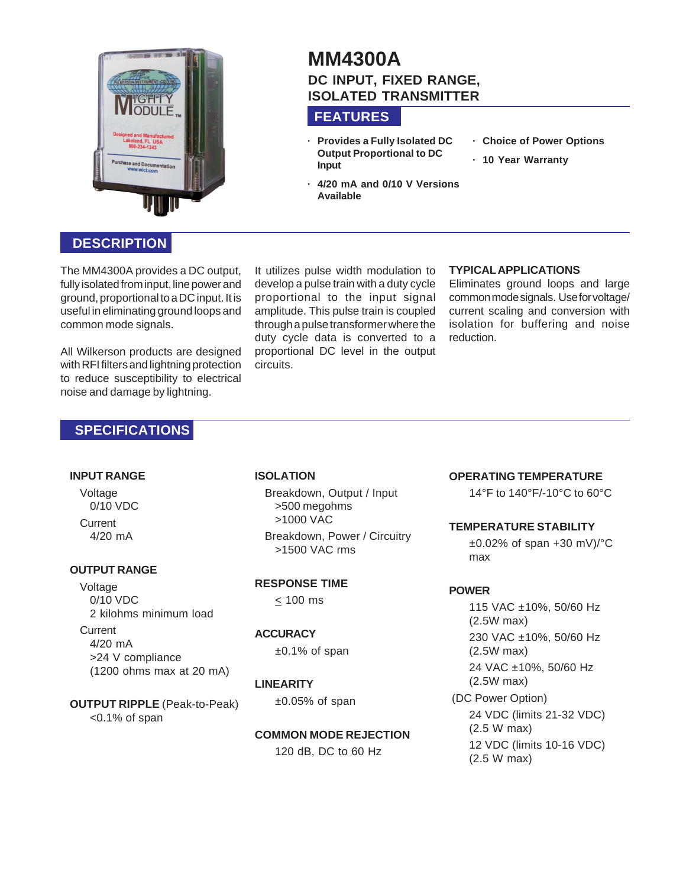

# **MM4300A DC INPUT, FIXED RANGE, ISOLATED TRANSMITTER**

## **FEATURES**

- **· Provides a Fully Isolated DC Output Proportional to DC Input**
- **· 4/20 mA and 0/10 V Versions Available**
- **· Choice of Power Options**
- **· 10 Year Warranty**

# **DESCRIPTION**

The MM4300A provides a DC output, fully isolated from input, line power and ground, proportional to a DC input. It is useful in eliminating ground loops and common mode signals.

All Wilkerson products are designed with RFI filters and lightning protection to reduce susceptibility to electrical noise and damage by lightning.

It utilizes pulse width modulation to develop a pulse train with a duty cycle proportional to the input signal amplitude. This pulse train is coupled through a pulse transformer where the duty cycle data is converted to a proportional DC level in the output circuits.

#### **TYPICAL APPLICATIONS**

Eliminates ground loops and large common mode signals. Use for voltage/ current scaling and conversion with isolation for buffering and noise reduction.

## **SPECIFICATIONS**

#### **INPUT RANGE**

Voltage 0/10 VDC **Current** 4/20 mA

#### **OUTPUT RANGE**

Voltage 0/10 VDC 2 kilohms minimum load **Current** 4/20 mA

>24 V compliance (1200 ohms max at 20 mA)

#### **ISOLATION**

Breakdown, Output / Input >500 megohms >1000 VAC Breakdown, Power / Circuitry >1500 VAC rms

#### **RESPONSE TIME**

 $< 100$  ms

#### **ACCURACY**

±0.1% of span

 $±0.05%$  of span

#### **LINEARITY**

**OUTPUT RIPPLE** (Peak-to-Peak) <0.1% of span

#### **COMMON MODE REJECTION**

120 dB, DC to 60 Hz

#### **OPERATING TEMPERATURE**

14°F to 140°F/-10°C to 60°C

#### **TEMPERATURE STABILITY**

±0.02% of span +30 mV)/°C max

#### **POWER**

115 VAC ±10%, 50/60 Hz (2.5W max) 230 VAC ±10%, 50/60 Hz (2.5W max) 24 VAC ±10%, 50/60 Hz (2.5W max) (DC Power Option) 24 VDC (limits 21-32 VDC) (2.5 W max) 12 VDC (limits 10-16 VDC) (2.5 W max)